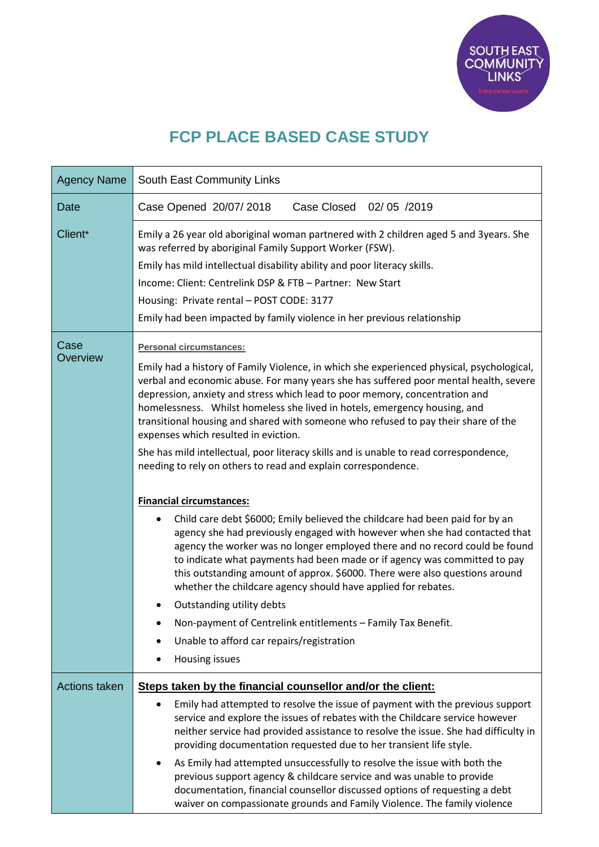

## **FCP PLACE BASED CASE STUDY**

| <b>Agency Name</b>   | South East Community Links                                                                                                                                                                                                                                                                                                                                                                                                                                                                                                                                                                                                                                                                                                                                                                                                                                                                                                                                                                                                                                                                                                                                                                                                                                                                                                      |
|----------------------|---------------------------------------------------------------------------------------------------------------------------------------------------------------------------------------------------------------------------------------------------------------------------------------------------------------------------------------------------------------------------------------------------------------------------------------------------------------------------------------------------------------------------------------------------------------------------------------------------------------------------------------------------------------------------------------------------------------------------------------------------------------------------------------------------------------------------------------------------------------------------------------------------------------------------------------------------------------------------------------------------------------------------------------------------------------------------------------------------------------------------------------------------------------------------------------------------------------------------------------------------------------------------------------------------------------------------------|
| Date                 | Case Closed 02/05 /2019<br>Case Opened 20/07/2018                                                                                                                                                                                                                                                                                                                                                                                                                                                                                                                                                                                                                                                                                                                                                                                                                                                                                                                                                                                                                                                                                                                                                                                                                                                                               |
| Client*              | Emily a 26 year old aboriginal woman partnered with 2 children aged 5 and 3years. She<br>was referred by aboriginal Family Support Worker (FSW).<br>Emily has mild intellectual disability ability and poor literacy skills.<br>Income: Client: Centrelink DSP & FTB - Partner: New Start<br>Housing: Private rental - POST CODE: 3177<br>Emily had been impacted by family violence in her previous relationship                                                                                                                                                                                                                                                                                                                                                                                                                                                                                                                                                                                                                                                                                                                                                                                                                                                                                                               |
| Case<br>Overview     | <b>Personal circumstances:</b><br>Emily had a history of Family Violence, in which she experienced physical, psychological,<br>verbal and economic abuse. For many years she has suffered poor mental health, severe<br>depression, anxiety and stress which lead to poor memory, concentration and<br>homelessness. Whilst homeless she lived in hotels, emergency housing, and<br>transitional housing and shared with someone who refused to pay their share of the<br>expenses which resulted in eviction.<br>She has mild intellectual, poor literacy skills and is unable to read correspondence,<br>needing to rely on others to read and explain correspondence.<br><b>Financial circumstances:</b><br>Child care debt \$6000; Emily believed the childcare had been paid for by an<br>agency she had previously engaged with however when she had contacted that<br>agency the worker was no longer employed there and no record could be found<br>to indicate what payments had been made or if agency was committed to pay<br>this outstanding amount of approx. \$6000. There were also questions around<br>whether the childcare agency should have applied for rebates.<br>Outstanding utility debts<br>Non-payment of Centrelink entitlements - Family Tax Benefit.<br>Unable to afford car repairs/registration |
|                      | Housing issues                                                                                                                                                                                                                                                                                                                                                                                                                                                                                                                                                                                                                                                                                                                                                                                                                                                                                                                                                                                                                                                                                                                                                                                                                                                                                                                  |
| <b>Actions taken</b> | Steps taken by the financial counsellor and/or the client:                                                                                                                                                                                                                                                                                                                                                                                                                                                                                                                                                                                                                                                                                                                                                                                                                                                                                                                                                                                                                                                                                                                                                                                                                                                                      |
|                      | Emily had attempted to resolve the issue of payment with the previous support<br>service and explore the issues of rebates with the Childcare service however<br>neither service had provided assistance to resolve the issue. She had difficulty in<br>providing documentation requested due to her transient life style.                                                                                                                                                                                                                                                                                                                                                                                                                                                                                                                                                                                                                                                                                                                                                                                                                                                                                                                                                                                                      |
|                      | As Emily had attempted unsuccessfully to resolve the issue with both the<br>٠<br>previous support agency & childcare service and was unable to provide<br>documentation, financial counsellor discussed options of requesting a debt<br>waiver on compassionate grounds and Family Violence. The family violence                                                                                                                                                                                                                                                                                                                                                                                                                                                                                                                                                                                                                                                                                                                                                                                                                                                                                                                                                                                                                |